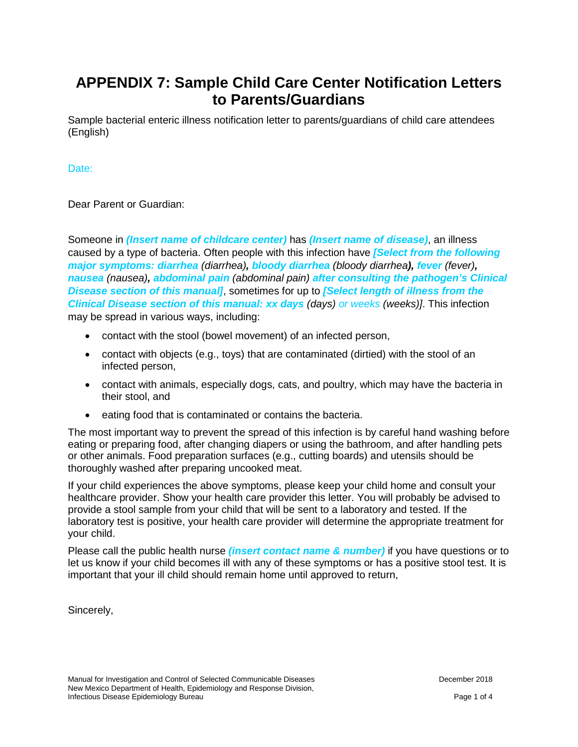# **APPENDIX 7: Sample Child Care Center Notification Letters to Parents/Guardians**

Sample bacterial enteric illness notification letter to parents/guardians of child care attendees (English)

### Date:

Dear Parent or Guardian:

Someone in *(Insert name of childcare center)* has *(Insert name of disease)*, an illness caused by a type of bacteria. Often people with this infection have *[Select from the following major symptoms: diarrhea (diarrhea), bloody diarrhea (bloody diarrhea), fever (fever), nausea (nausea), abdominal pain (abdominal pain) after consulting the pathogen's Clinical Disease section of this manual]*, sometimes for up to *[Select length of illness from the Clinical Disease section of this manual: xx days (days) or weeks (weeks)]*. This infection may be spread in various ways, including:

- contact with the stool (bowel movement) of an infected person,
- contact with objects (e.g., toys) that are contaminated (dirtied) with the stool of an infected person,
- contact with animals, especially dogs, cats, and poultry, which may have the bacteria in their stool, and
- eating food that is contaminated or contains the bacteria.

The most important way to prevent the spread of this infection is by careful hand washing before eating or preparing food, after changing diapers or using the bathroom, and after handling pets or other animals. Food preparation surfaces (e.g., cutting boards) and utensils should be thoroughly washed after preparing uncooked meat.

If your child experiences the above symptoms, please keep your child home and consult your healthcare provider. Show your health care provider this letter. You will probably be advised to provide a stool sample from your child that will be sent to a laboratory and tested. If the laboratory test is positive, your health care provider will determine the appropriate treatment for your child.

Please call the public health nurse *(insert contact name & number)* if you have questions or to let us know if your child becomes ill with any of these symptoms or has a positive stool test. It is important that your ill child should remain home until approved to return,

Sincerely,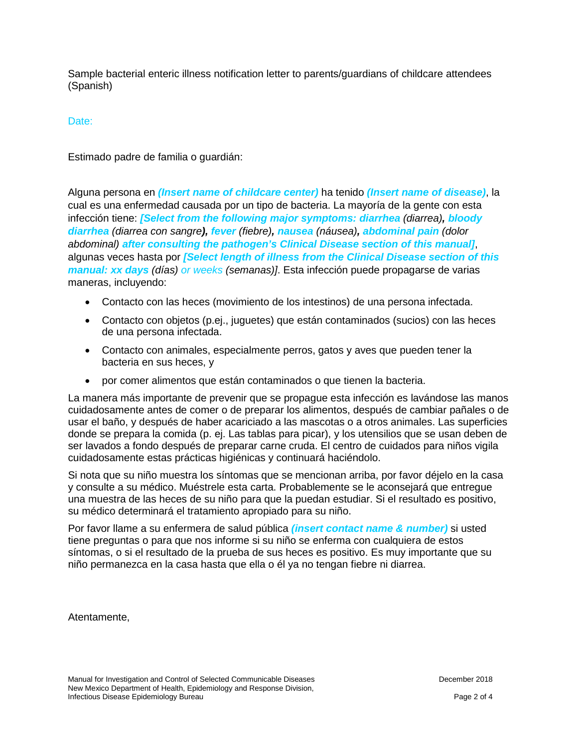Sample bacterial enteric illness notification letter to parents/guardians of childcare attendees (Spanish)

#### Date:

Estimado padre de familia o guardián:

Alguna persona en *(Insert name of childcare center)* ha tenido *(Insert name of disease)*, la cual es una enfermedad causada por un tipo de bacteria. La mayoría de la gente con esta infección tiene: *[Select from the following major symptoms: diarrhea (diarrea), bloody diarrhea (diarrea con sangre), fever (fiebre), nausea (náusea), abdominal pain (dolor abdominal) after consulting the pathogen's Clinical Disease section of this manual]*, algunas veces hasta por *[Select length of illness from the Clinical Disease section of this manual: xx days (días) or weeks (semanas)]*. Esta infección puede propagarse de varias maneras, incluyendo:

- Contacto con las heces (movimiento de los intestinos) de una persona infectada.
- Contacto con objetos (p.ej., juguetes) que están contaminados (sucios) con las heces de una persona infectada.
- Contacto con animales, especialmente perros, gatos y aves que pueden tener la bacteria en sus heces, y
- por comer alimentos que están contaminados o que tienen la bacteria.

La manera más importante de prevenir que se propague esta infección es lavándose las manos cuidadosamente antes de comer o de preparar los alimentos, después de cambiar pañales o de usar el baño, y después de haber acariciado a las mascotas o a otros animales. Las superficies donde se prepara la comida (p. ej. Las tablas para picar), y los utensilios que se usan deben de ser lavados a fondo después de preparar carne cruda. El centro de cuidados para niños vigila cuidadosamente estas prácticas higiénicas y continuará haciéndolo.

Si nota que su niño muestra los síntomas que se mencionan arriba, por favor déjelo en la casa y consulte a su médico. Muéstrele esta carta. Probablemente se le aconsejará que entregue una muestra de las heces de su niño para que la puedan estudiar. Si el resultado es positivo, su médico determinará el tratamiento apropiado para su niño.

Por favor llame a su enfermera de salud pública *(insert contact name & number)* si usted tiene preguntas o para que nos informe si su niño se enferma con cualquiera de estos síntomas, o si el resultado de la prueba de sus heces es positivo. Es muy importante que su niño permanezca en la casa hasta que ella o él ya no tengan fiebre ni diarrea.

Atentamente,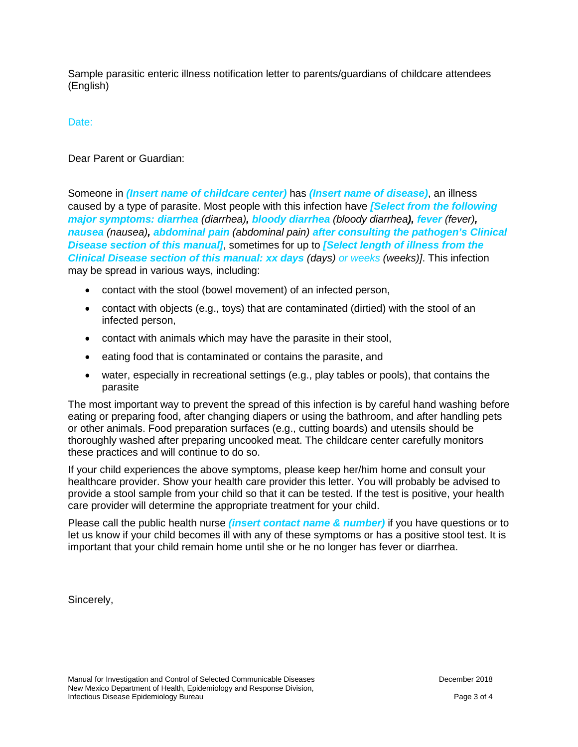Sample parasitic enteric illness notification letter to parents/guardians of childcare attendees (English)

## Date:

Dear Parent or Guardian:

Someone in *(Insert name of childcare center)* has *(Insert name of disease)*, an illness caused by a type of parasite. Most people with this infection have *[Select from the following major symptoms: diarrhea (diarrhea), bloody diarrhea (bloody diarrhea), fever (fever), nausea (nausea), abdominal pain (abdominal pain) after consulting the pathogen's Clinical Disease section of this manual]*, sometimes for up to *[Select length of illness from the Clinical Disease section of this manual: xx days (days) or weeks (weeks)]*. This infection may be spread in various ways, including:

- contact with the stool (bowel movement) of an infected person,
- contact with objects (e.g., toys) that are contaminated (dirtied) with the stool of an infected person,
- contact with animals which may have the parasite in their stool,
- eating food that is contaminated or contains the parasite, and
- water, especially in recreational settings (e.g., play tables or pools), that contains the parasite

The most important way to prevent the spread of this infection is by careful hand washing before eating or preparing food, after changing diapers or using the bathroom, and after handling pets or other animals. Food preparation surfaces (e.g., cutting boards) and utensils should be thoroughly washed after preparing uncooked meat. The childcare center carefully monitors these practices and will continue to do so.

If your child experiences the above symptoms, please keep her/him home and consult your healthcare provider. Show your health care provider this letter. You will probably be advised to provide a stool sample from your child so that it can be tested. If the test is positive, your health care provider will determine the appropriate treatment for your child.

Please call the public health nurse *(insert contact name & number)* if you have questions or to let us know if your child becomes ill with any of these symptoms or has a positive stool test. It is important that your child remain home until she or he no longer has fever or diarrhea.

Sincerely,